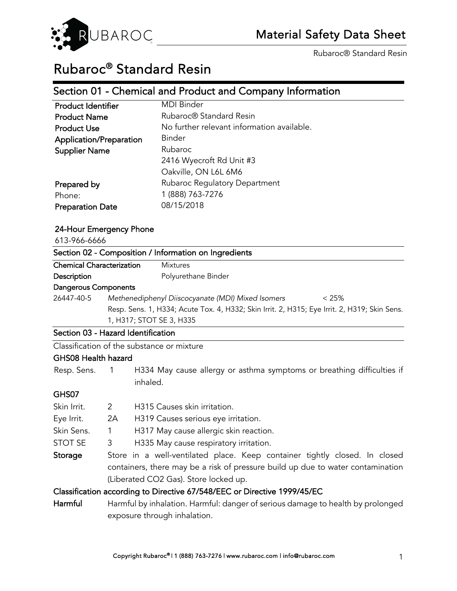

# Rubaroc® Standard Resin

## Section 01 - Chemical and Product and Company Information

| <b>Product Identifier</b> | <b>MDI Binder</b>                          |  |
|---------------------------|--------------------------------------------|--|
| <b>Product Name</b>       | Rubaroc <sup>®</sup> Standard Resin        |  |
| <b>Product Use</b>        | No further relevant information available. |  |
| Application/Preparation   | <b>Binder</b>                              |  |
| <b>Supplier Name</b>      | Rubaroc                                    |  |
|                           | 2416 Wyecroft Rd Unit #3                   |  |
|                           | Oakville, ON L6L 6M6                       |  |
| Prepared by               | Rubaroc Regulatory Department              |  |
| Phone:                    | 1 (888) 763-7276                           |  |
| <b>Preparation Date</b>   | 08/15/2018                                 |  |

#### 24-Hour Emergency Phone

| 613-966-6666                                                                |  |                                                       |  |                                                                                              |
|-----------------------------------------------------------------------------|--|-------------------------------------------------------|--|----------------------------------------------------------------------------------------------|
|                                                                             |  | Section 02 - Composition / Information on Ingredients |  |                                                                                              |
| <b>Chemical Characterization</b>                                            |  | <b>Mixtures</b>                                       |  |                                                                                              |
| Description                                                                 |  | Polyurethane Binder                                   |  |                                                                                              |
| <b>Dangerous Components</b>                                                 |  |                                                       |  |                                                                                              |
| 26447-40-5<br>Methenediphenyl Diiscocyanate (MDI) Mixed Isomers<br>$< 25\%$ |  |                                                       |  |                                                                                              |
|                                                                             |  |                                                       |  | Resp. Sens. 1, H334; Acute Tox. 4, H332; Skin Irrit. 2, H315; Eye Irrit. 2, H319; Skin Sens. |
|                                                                             |  | 1, H317; STOT SE 3, H335                              |  |                                                                                              |
| Section 03 - Hazard Identification                                          |  |                                                       |  |                                                                                              |
|                                                                             |  | Classification of the substance or mixture            |  |                                                                                              |
| GHS08 Health hazard                                                         |  |                                                       |  |                                                                                              |
| Resp. Sens. 1                                                               |  |                                                       |  | H334 May cause allergy or asthma symptoms or breathing difficulties if                       |

#### GHS07

| Skin Irrit.                                                                     | 2                                                                               | H315 Causes skin irritation.                                               |  |  |
|---------------------------------------------------------------------------------|---------------------------------------------------------------------------------|----------------------------------------------------------------------------|--|--|
| Eye Irrit.                                                                      | 2A                                                                              | H319 Causes serious eye irritation.                                        |  |  |
| Skin Sens.                                                                      | 1                                                                               | H317 May cause allergic skin reaction.                                     |  |  |
| <b>STOT SE</b>                                                                  | 3                                                                               | H335 May cause respiratory irritation.                                     |  |  |
| Storage                                                                         |                                                                                 | Store in a well-ventilated place. Keep container tightly closed. In closed |  |  |
| containers, there may be a risk of pressure build up due to water contamination |                                                                                 |                                                                            |  |  |
| (Liberated CO2 Gas). Store locked up.                                           |                                                                                 |                                                                            |  |  |
|                                                                                 |                                                                                 | Classification according to Directive 67/548/EEC or Directive 1999/45/EC   |  |  |
| Harmful                                                                         | Harmful by inhalation. Harmful: danger of serious damage to health by prolonged |                                                                            |  |  |
|                                                                                 |                                                                                 |                                                                            |  |  |

exposure through inhalation.

inhaled.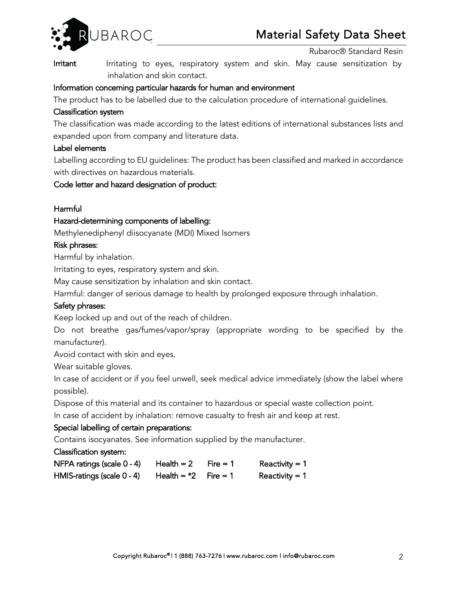

Irritant Irritating to eyes, respiratory system and skin. May cause sensitization by inhalation and skin contact.

### Information concerning particular hazards for human and environment

The product has to be labelled due to the calculation procedure of international guidelines.

## Classification system

The classification was made according to the latest editions of international substances lists and expanded upon from company and literature data.

### Label elements

Labelling according to EU guidelines: The product has been classified and marked in accordance with directives on hazardous materials.

### Code letter and hazard designation of product:

## **Harmful**

### Hazard-determining components of labelling:

Methylenediphenyl diisocyanate (MDI) Mixed Isomers

### Risk phrases:

Harmful by inhalation.

Irritating to eyes, respiratory system and skin.

May cause sensitization by inhalation and skin contact.

Harmful: danger of serious damage to health by prolonged exposure through inhalation.

## Safety phrases:

Keep locked up and out of the reach of children.

Do not breathe gas/fumes/vapor/spray (appropriate wording to be specified by the manufacturer).

Avoid contact with skin and eyes.

Wear suitable gloves.

In case of accident or if you feel unwell, seek medical advice immediately (show the label where possible).

Dispose of this material and its container to hazardous or special waste collection point.

In case of accident by inhalation: remove casualty to fresh air and keep at rest.

## Special labelling of certain preparations:

Contains isocyanates. See information supplied by the manufacturer.

Classification system:

| NFPA ratings (scale 0 - 4) | Health $= 2$           | Fire $= 1$ | Reactivity $= 1$ |
|----------------------------|------------------------|------------|------------------|
| HMIS-ratings (scale 0 - 4) | Health = $*2$ Fire = 1 |            | Reactivity $= 1$ |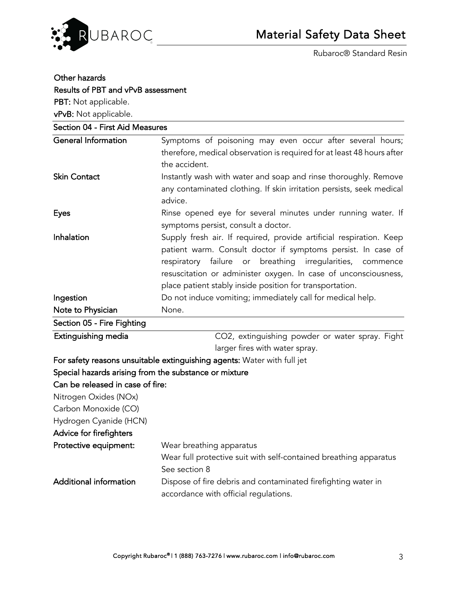

| Other hazards                                         |                                                                                                                                                                                                                                                                                                                                       |
|-------------------------------------------------------|---------------------------------------------------------------------------------------------------------------------------------------------------------------------------------------------------------------------------------------------------------------------------------------------------------------------------------------|
| Results of PBT and vPvB assessment                    |                                                                                                                                                                                                                                                                                                                                       |
| PBT: Not applicable.                                  |                                                                                                                                                                                                                                                                                                                                       |
| vPvB: Not applicable.                                 |                                                                                                                                                                                                                                                                                                                                       |
| Section 04 - First Aid Measures                       |                                                                                                                                                                                                                                                                                                                                       |
| <b>General Information</b>                            | Symptoms of poisoning may even occur after several hours;<br>therefore, medical observation is required for at least 48 hours after<br>the accident.                                                                                                                                                                                  |
| <b>Skin Contact</b>                                   | Instantly wash with water and soap and rinse thoroughly. Remove<br>any contaminated clothing. If skin irritation persists, seek medical<br>advice.                                                                                                                                                                                    |
| <b>Eyes</b>                                           | Rinse opened eye for several minutes under running water. If<br>symptoms persist, consult a doctor.                                                                                                                                                                                                                                   |
| Inhalation                                            | Supply fresh air. If required, provide artificial respiration. Keep<br>patient warm. Consult doctor if symptoms persist. In case of<br>respiratory failure or breathing<br>irregularities,<br>commence<br>resuscitation or administer oxygen. In case of unconsciousness,<br>place patient stably inside position for transportation. |
| Ingestion                                             | Do not induce vomiting; immediately call for medical help.                                                                                                                                                                                                                                                                            |
| Note to Physician                                     | None.                                                                                                                                                                                                                                                                                                                                 |
| Section 05 - Fire Fighting                            |                                                                                                                                                                                                                                                                                                                                       |
| Extinguishing media                                   | CO2, extinguishing powder or water spray. Fight<br>larger fires with water spray.                                                                                                                                                                                                                                                     |
|                                                       | For safety reasons unsuitable extinguishing agents: Water with full jet                                                                                                                                                                                                                                                               |
| Special hazards arising from the substance or mixture |                                                                                                                                                                                                                                                                                                                                       |
| Can be released in case of fire:                      |                                                                                                                                                                                                                                                                                                                                       |
| Nitrogen Oxides (NOx)                                 |                                                                                                                                                                                                                                                                                                                                       |
| Carbon Monoxide (CO)                                  |                                                                                                                                                                                                                                                                                                                                       |
| Hydrogen Cyanide (HCN)                                |                                                                                                                                                                                                                                                                                                                                       |
| Advice for firefighters                               |                                                                                                                                                                                                                                                                                                                                       |
| Protective equipment:                                 | Wear breathing apparatus                                                                                                                                                                                                                                                                                                              |
|                                                       | Wear full protective suit with self-contained breathing apparatus                                                                                                                                                                                                                                                                     |
|                                                       | See section 8                                                                                                                                                                                                                                                                                                                         |
| <b>Additional information</b>                         | Dispose of fire debris and contaminated firefighting water in<br>accordance with official regulations.                                                                                                                                                                                                                                |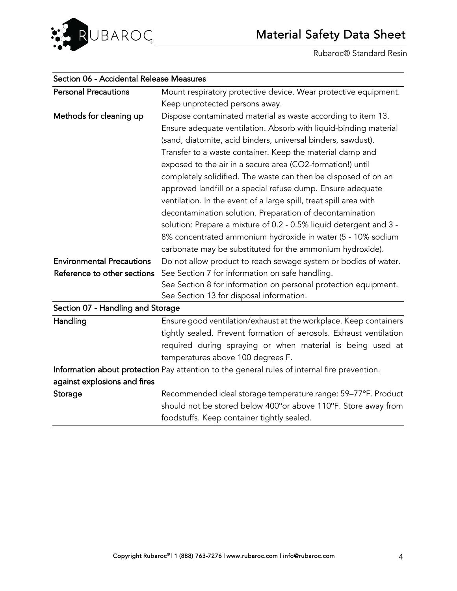

| Section oo - Accidental Release Measures |                                                                                              |  |
|------------------------------------------|----------------------------------------------------------------------------------------------|--|
| <b>Personal Precautions</b>              | Mount respiratory protective device. Wear protective equipment.                              |  |
|                                          | Keep unprotected persons away.                                                               |  |
| Methods for cleaning up                  | Dispose contaminated material as waste according to item 13.                                 |  |
|                                          | Ensure adequate ventilation. Absorb with liquid-binding material                             |  |
|                                          | (sand, diatomite, acid binders, universal binders, sawdust).                                 |  |
|                                          | Transfer to a waste container. Keep the material damp and                                    |  |
|                                          | exposed to the air in a secure area (CO2-formation!) until                                   |  |
|                                          | completely solidified. The waste can then be disposed of on an                               |  |
|                                          | approved landfill or a special refuse dump. Ensure adequate                                  |  |
|                                          | ventilation. In the event of a large spill, treat spill area with                            |  |
|                                          | decontamination solution. Preparation of decontamination                                     |  |
|                                          | solution: Prepare a mixture of 0.2 - 0.5% liquid detergent and 3 -                           |  |
|                                          | 8% concentrated ammonium hydroxide in water (5 - 10% sodium                                  |  |
|                                          | carbonate may be substituted for the ammonium hydroxide).                                    |  |
| <b>Environmental Precautions</b>         | Do not allow product to reach sewage system or bodies of water.                              |  |
| Reference to other sections              | See Section 7 for information on safe handling.                                              |  |
|                                          | See Section 8 for information on personal protection equipment.                              |  |
|                                          | See Section 13 for disposal information.                                                     |  |
| Section 07 - Handling and Storage        |                                                                                              |  |
| Handling                                 | Ensure good ventilation/exhaust at the workplace. Keep containers                            |  |
|                                          | tightly sealed. Prevent formation of aerosols. Exhaust ventilation                           |  |
|                                          | required during spraying or when material is being used at                                   |  |
|                                          | temperatures above 100 degrees F.                                                            |  |
|                                          | Information about protection Pay attention to the general rules of internal fire prevention. |  |
| against explosions and fires             |                                                                                              |  |
| Storage                                  | Recommended ideal storage temperature range: 59-77°F. Product                                |  |
|                                          | should not be stored below 400° or above 110°F. Store away from                              |  |
|                                          | foodstuffs. Keep container tightly sealed.                                                   |  |
|                                          |                                                                                              |  |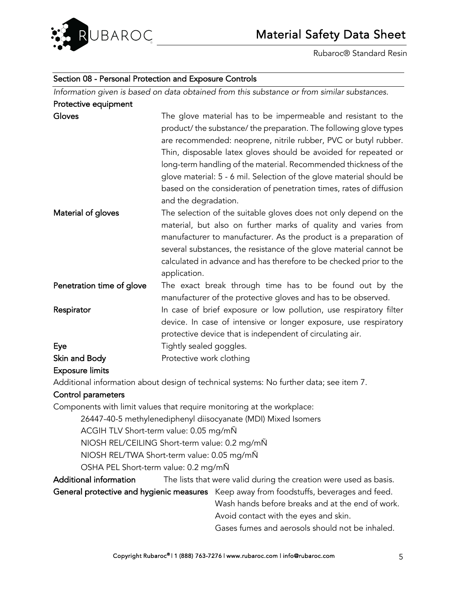

#### Section 08 - Personal Protection and Exposure Controls

*Information given is based on data obtained from this substance or from similar substances.*  Protective equipment

| Gloves                    | The glove material has to be impermeable and resistant to the<br>product/the substance/the preparation. The following glove types<br>are recommended: neoprene, nitrile rubber, PVC or butyl rubber.<br>Thin, disposable latex gloves should be avoided for repeated or<br>long-term handling of the material. Recommended thickness of the<br>glove material: 5 - 6 mil. Selection of the glove material should be<br>based on the consideration of penetration times, rates of diffusion<br>and the degradation. |
|---------------------------|--------------------------------------------------------------------------------------------------------------------------------------------------------------------------------------------------------------------------------------------------------------------------------------------------------------------------------------------------------------------------------------------------------------------------------------------------------------------------------------------------------------------|
| Material of gloves        | The selection of the suitable gloves does not only depend on the<br>material, but also on further marks of quality and varies from<br>manufacturer to manufacturer. As the product is a preparation of<br>several substances, the resistance of the glove material cannot be<br>calculated in advance and has therefore to be checked prior to the<br>application.                                                                                                                                                 |
| Penetration time of glove | The exact break through time has to be found out by the<br>manufacturer of the protective gloves and has to be observed.                                                                                                                                                                                                                                                                                                                                                                                           |
| Respirator                | In case of brief exposure or low pollution, use respiratory filter<br>device. In case of intensive or longer exposure, use respiratory<br>protective device that is independent of circulating air.                                                                                                                                                                                                                                                                                                                |
| Eye                       | Tightly sealed goggles.                                                                                                                                                                                                                                                                                                                                                                                                                                                                                            |

## Skin and Body **Protective work clothing**

#### Exposure limits

Additional information about design of technical systems: No further data; see item 7.

#### Control parameters

Components with limit values that require monitoring at the workplace:

26447-40-5 methylenediphenyl diisocyanate (MDI) Mixed Isomers

ACGIH TLV Short-term value: 0.05 mg/mÑ

NIOSH REL/CEILING Short-term value: 0.2 mg/mÑ

NIOSH REL/TWA Short-term value: 0.05 mg/mÑ

OSHA PEL Short-term value: 0.2 mg/mÑ

Additional information The lists that were valid during the creation were used as basis.

General protective and hygienic measures Keep away from foodstuffs, beverages and feed.

Wash hands before breaks and at the end of work.

Avoid contact with the eyes and skin.

Gases fumes and aerosols should not be inhaled.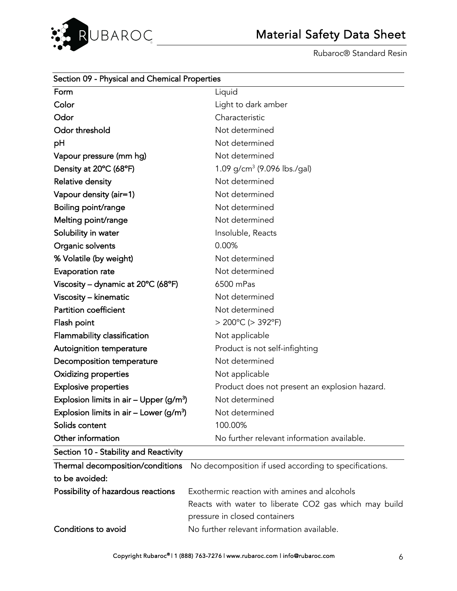

| Section 09 - Physical and Chemical Properties       |                                                       |  |
|-----------------------------------------------------|-------------------------------------------------------|--|
| Form                                                | Liquid                                                |  |
| Color                                               | Light to dark amber                                   |  |
| Odor                                                | Characteristic                                        |  |
| Odor threshold                                      | Not determined                                        |  |
| рH                                                  | Not determined                                        |  |
| Vapour pressure (mm hg)                             | Not determined                                        |  |
| Density at 20°C (68°F)                              | 1.09 g/cm <sup>3</sup> (9.096 lbs./gal)               |  |
| Relative density                                    | Not determined                                        |  |
| Vapour density (air=1)                              | Not determined                                        |  |
| Boiling point/range                                 | Not determined                                        |  |
| Melting point/range                                 | Not determined                                        |  |
| Solubility in water                                 | Insoluble, Reacts                                     |  |
| Organic solvents                                    | 0.00%                                                 |  |
| % Volatile (by weight)                              | Not determined                                        |  |
| Evaporation rate                                    | Not determined                                        |  |
| Viscosity - dynamic at 20°C (68°F)                  | 6500 mPas                                             |  |
| Viscosity - kinematic                               | Not determined                                        |  |
| Partition coefficient                               | Not determined                                        |  |
| Flash point                                         | $> 200^{\circ}$ C ( $> 392^{\circ}$ F)                |  |
| Flammability classification                         | Not applicable                                        |  |
| Autoignition temperature                            | Product is not self-infighting                        |  |
| Decomposition temperature                           | Not determined                                        |  |
| <b>Oxidizing properties</b>                         | Not applicable                                        |  |
| <b>Explosive properties</b>                         | Product does not present an explosion hazard.         |  |
| Explosion limits in air – Upper ( $g/m^3$ )         | Not determined                                        |  |
| Explosion limits in air – Lower (g/m <sup>3</sup> ) | Not determined                                        |  |
| Solids content                                      | 100.00%                                               |  |
| Other information                                   | No further relevant information available.            |  |
| Section 10 - Stability and Reactivity               |                                                       |  |
| Thermal decomposition/conditions                    | No decomposition if used according to specifications. |  |
| to be avoided:                                      |                                                       |  |
| Possibility of hazardous reactions                  | Exothermic reaction with amines and alcohols          |  |
|                                                     | Reacts with water to liberate CO2 gas which may build |  |
|                                                     | pressure in closed containers                         |  |
| Conditions to avoid                                 | No further relevant information available.            |  |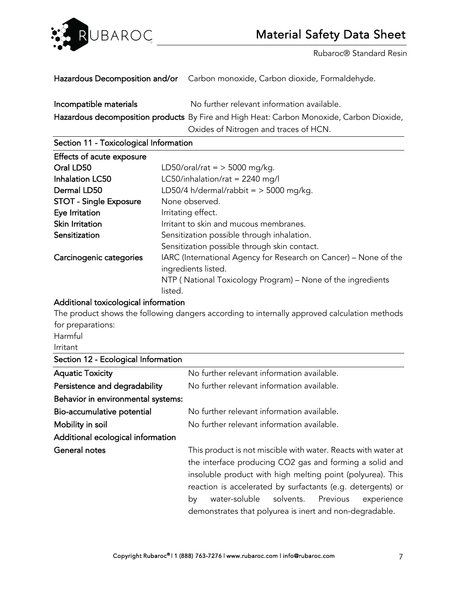

Hazardous Decomposition and/or Carbon monoxide, Carbon dioxide, Formaldehyde.

Incompatible materials Mo further relevant information available. Hazardous decomposition products By Fire and High Heat: Carbon Monoxide, Carbon Dioxide, Oxides of Nitrogen and traces of HCN.

Section 11 - Toxicological Information

| Effects of acute exposure     |                                                                                         |
|-------------------------------|-----------------------------------------------------------------------------------------|
| Oral LD50                     | LD50/oral/rat = $>$ 5000 mg/kg.                                                         |
| <b>Inhalation LC50</b>        | LC50/inhalation/rat = 2240 mg/l                                                         |
| Dermal LD50                   | LD50/4 h/dermal/rabbit = $>$ 5000 mg/kg.                                                |
| <b>STOT - Single Exposure</b> | None observed.                                                                          |
| Eye Irritation                | Irritating effect.                                                                      |
| <b>Skin Irritation</b>        | Irritant to skin and mucous membranes.                                                  |
| Sensitization                 | Sensitization possible through inhalation.                                              |
|                               | Sensitization possible through skin contact.                                            |
| Carcinogenic categories       | IARC (International Agency for Research on Cancer) – None of the<br>ingredients listed. |
|                               | NTP (National Toxicology Program) – None of the ingredients<br>listed.                  |

#### Additional toxicological information

The product shows the following dangers according to internally approved calculation methods for preparations:

Harmful

Irritant

| Section 12 - Ecological Information |                                                                                                                                                                                                                                                       |  |  |
|-------------------------------------|-------------------------------------------------------------------------------------------------------------------------------------------------------------------------------------------------------------------------------------------------------|--|--|
| <b>Aquatic Toxicity</b>             | No further relevant information available.                                                                                                                                                                                                            |  |  |
| Persistence and degradability       | No further relevant information available.                                                                                                                                                                                                            |  |  |
| Behavior in environmental systems:  |                                                                                                                                                                                                                                                       |  |  |
| Bio-accumulative potential          | No further relevant information available.                                                                                                                                                                                                            |  |  |
| Mobility in soil                    | No further relevant information available.                                                                                                                                                                                                            |  |  |
| Additional ecological information   |                                                                                                                                                                                                                                                       |  |  |
| General notes                       | This product is not miscible with water. Reacts with water at<br>the interface producing CO2 gas and forming a solid and<br>insoluble product with high melting point (polyurea). This<br>reaction is accelerated by surfactants (e.g. detergents) or |  |  |
|                                     | water-soluble solvents.<br>Previous<br>experience<br>by<br>demonstrates that polyurea is inert and non-degradable.                                                                                                                                    |  |  |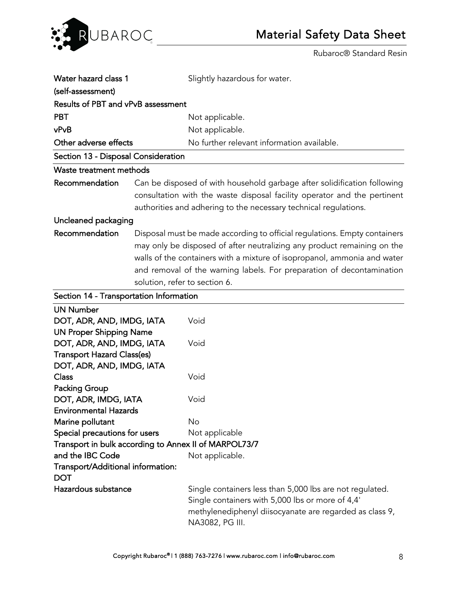

| Water hazard class 1                                                                                                                                                                                                                                                                                                                                                                                                                                                |                                                                                                                                                                                                                                                                                                                                            | Slightly hazardous for water.                                                                                                                                                              |  |
|---------------------------------------------------------------------------------------------------------------------------------------------------------------------------------------------------------------------------------------------------------------------------------------------------------------------------------------------------------------------------------------------------------------------------------------------------------------------|--------------------------------------------------------------------------------------------------------------------------------------------------------------------------------------------------------------------------------------------------------------------------------------------------------------------------------------------|--------------------------------------------------------------------------------------------------------------------------------------------------------------------------------------------|--|
| (self-assessment)                                                                                                                                                                                                                                                                                                                                                                                                                                                   |                                                                                                                                                                                                                                                                                                                                            |                                                                                                                                                                                            |  |
| Results of PBT and vPvB assessment                                                                                                                                                                                                                                                                                                                                                                                                                                  |                                                                                                                                                                                                                                                                                                                                            |                                                                                                                                                                                            |  |
| <b>PBT</b><br>Not applicable.                                                                                                                                                                                                                                                                                                                                                                                                                                       |                                                                                                                                                                                                                                                                                                                                            |                                                                                                                                                                                            |  |
| vPvB<br>Not applicable.                                                                                                                                                                                                                                                                                                                                                                                                                                             |                                                                                                                                                                                                                                                                                                                                            |                                                                                                                                                                                            |  |
| Other adverse effects<br>No further relevant information available.                                                                                                                                                                                                                                                                                                                                                                                                 |                                                                                                                                                                                                                                                                                                                                            |                                                                                                                                                                                            |  |
| Section 13 - Disposal Consideration                                                                                                                                                                                                                                                                                                                                                                                                                                 |                                                                                                                                                                                                                                                                                                                                            |                                                                                                                                                                                            |  |
| Waste treatment methods                                                                                                                                                                                                                                                                                                                                                                                                                                             |                                                                                                                                                                                                                                                                                                                                            |                                                                                                                                                                                            |  |
| Recommendation                                                                                                                                                                                                                                                                                                                                                                                                                                                      |                                                                                                                                                                                                                                                                                                                                            | Can be disposed of with household garbage after solidification following                                                                                                                   |  |
|                                                                                                                                                                                                                                                                                                                                                                                                                                                                     | consultation with the waste disposal facility operator and the pertinent<br>authorities and adhering to the necessary technical regulations.                                                                                                                                                                                               |                                                                                                                                                                                            |  |
| Uncleaned packaging                                                                                                                                                                                                                                                                                                                                                                                                                                                 |                                                                                                                                                                                                                                                                                                                                            |                                                                                                                                                                                            |  |
| Recommendation                                                                                                                                                                                                                                                                                                                                                                                                                                                      | Disposal must be made according to official regulations. Empty containers<br>may only be disposed of after neutralizing any product remaining on the<br>walls of the containers with a mixture of isopropanol, ammonia and water<br>and removal of the warning labels. For preparation of decontamination<br>solution, refer to section 6. |                                                                                                                                                                                            |  |
| Section 14 - Transportation Information                                                                                                                                                                                                                                                                                                                                                                                                                             |                                                                                                                                                                                                                                                                                                                                            |                                                                                                                                                                                            |  |
| <b>UN Number</b><br>DOT, ADR, AND, IMDG, IATA<br><b>UN Proper Shipping Name</b><br>DOT, ADR, AND, IMDG, IATA<br><b>Transport Hazard Class(es)</b><br>DOT, ADR, AND, IMDG, IATA<br><b>Class</b><br><b>Packing Group</b><br>DOT, ADR, IMDG, IATA<br><b>Environmental Hazards</b><br>Marine pollutant<br>Special precautions for users<br>Transport in bulk according to Annex II of MARPOL73/7<br>and the IBC Code<br>Transport/Additional information:<br><b>DOT</b> |                                                                                                                                                                                                                                                                                                                                            | Void<br>Void<br>Void<br>Void<br>No<br>Not applicable<br>Not applicable.                                                                                                                    |  |
| Hazardous substance                                                                                                                                                                                                                                                                                                                                                                                                                                                 |                                                                                                                                                                                                                                                                                                                                            | Single containers less than 5,000 lbs are not regulated.<br>Single containers with 5,000 lbs or more of 4,4'<br>methylenediphenyl diisocyanate are regarded as class 9,<br>NA3082, PG III. |  |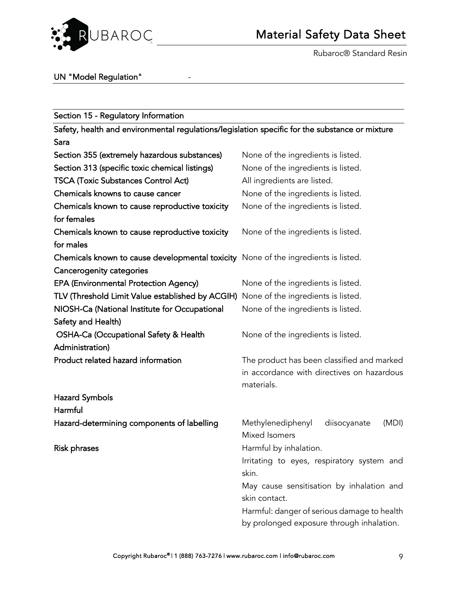

Rubaroc® Standard Resin

## UN "Model Regulation" | The Solomon State

| Section 15 - Regulatory Information                                                            |                                             |  |
|------------------------------------------------------------------------------------------------|---------------------------------------------|--|
| Safety, health and environmental regulations/legislation specific for the substance or mixture |                                             |  |
| Sara                                                                                           |                                             |  |
| Section 355 (extremely hazardous substances)                                                   | None of the ingredients is listed.          |  |
| Section 313 (specific toxic chemical listings)                                                 | None of the ingredients is listed.          |  |
| <b>TSCA (Toxic Substances Control Act)</b>                                                     | All ingredients are listed.                 |  |
| Chemicals knowns to cause cancer                                                               | None of the ingredients is listed.          |  |
| Chemicals known to cause reproductive toxicity                                                 | None of the ingredients is listed.          |  |
| for females                                                                                    |                                             |  |
| Chemicals known to cause reproductive toxicity                                                 | None of the ingredients is listed.          |  |
| for males                                                                                      |                                             |  |
| Chemicals known to cause developmental toxicity None of the ingredients is listed.             |                                             |  |
| <b>Cancerogenity categories</b>                                                                |                                             |  |
| <b>EPA (Environmental Protection Agency)</b>                                                   | None of the ingredients is listed.          |  |
| TLV (Threshold Limit Value established by ACGIH)                                               | None of the ingredients is listed.          |  |
| NIOSH-Ca (National Institute for Occupational                                                  | None of the ingredients is listed.          |  |
| Safety and Health)                                                                             |                                             |  |
| OSHA-Ca (Occupational Safety & Health                                                          | None of the ingredients is listed.          |  |
| Administration)                                                                                |                                             |  |
| Product related hazard information                                                             | The product has been classified and marked  |  |
|                                                                                                | in accordance with directives on hazardous  |  |
|                                                                                                | materials.                                  |  |
| <b>Hazard Symbols</b>                                                                          |                                             |  |
| Harmful                                                                                        |                                             |  |
| Hazard-determining components of labelling                                                     | Methylenediphenyl<br>diisocyanate<br>(MDI)  |  |
|                                                                                                | <b>Mixed Isomers</b>                        |  |
| <b>Risk phrases</b>                                                                            | Harmful by inhalation.                      |  |
|                                                                                                | Irritating to eyes, respiratory system and  |  |
|                                                                                                | skin.                                       |  |
|                                                                                                | May cause sensitisation by inhalation and   |  |
|                                                                                                | skin contact.                               |  |
|                                                                                                | Harmful: danger of serious damage to health |  |
|                                                                                                | by prolonged exposure through inhalation.   |  |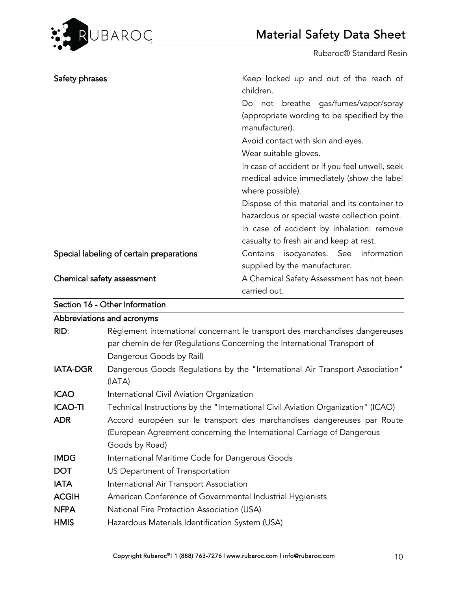

| Safety phrases                           | Keep locked up and out of the reach of<br>children.           |
|------------------------------------------|---------------------------------------------------------------|
|                                          | Do not breathe gas/fumes/vapor/spray                          |
|                                          | (appropriate wording to be specified by the<br>manufacturer). |
|                                          | Avoid contact with skin and eyes.                             |
|                                          | Wear suitable gloves.                                         |
|                                          | In case of accident or if you feel unwell, seek               |
|                                          | medical advice immediately (show the label                    |
|                                          | where possible).                                              |
|                                          | Dispose of this material and its container to                 |
|                                          | hazardous or special waste collection point.                  |
|                                          | In case of accident by inhalation: remove                     |
|                                          | casualty to fresh air and keep at rest.                       |
| Special labeling of certain preparations | Contains isocyanates. See information                         |
|                                          | supplied by the manufacturer.                                 |
| Chemical safety assessment               | A Chemical Safety Assessment has not been                     |
|                                          | carried out.                                                  |

Section 16 - Other Information

|                 | Abbreviations and acronyms                                                                                                                                                           |
|-----------------|--------------------------------------------------------------------------------------------------------------------------------------------------------------------------------------|
| RID:            | Règlement international concernant le transport des marchandises dangereuses<br>par chemin de fer (Regulations Concerning the International Transport of<br>Dangerous Goods by Rail) |
| <b>IATA-DGR</b> | Dangerous Goods Regulations by the "International Air Transport Association"<br>(IATA)                                                                                               |
| <b>ICAO</b>     | International Civil Aviation Organization                                                                                                                                            |
| <b>ICAO-TI</b>  | Technical Instructions by the "International Civil Aviation Organization" (ICAO)                                                                                                     |
| <b>ADR</b>      | Accord européen sur le transport des marchandises dangereuses par Route<br>(European Agreement concerning the International Carriage of Dangerous<br>Goods by Road)                  |
| <b>IMDG</b>     | International Maritime Code for Dangerous Goods                                                                                                                                      |
| <b>DOT</b>      | US Department of Transportation                                                                                                                                                      |
| <b>IATA</b>     | International Air Transport Association                                                                                                                                              |
| <b>ACGIH</b>    | American Conference of Governmental Industrial Hygienists                                                                                                                            |
| <b>NFPA</b>     | National Fire Protection Association (USA)                                                                                                                                           |
| <b>HMIS</b>     | Hazardous Materials Identification System (USA)                                                                                                                                      |